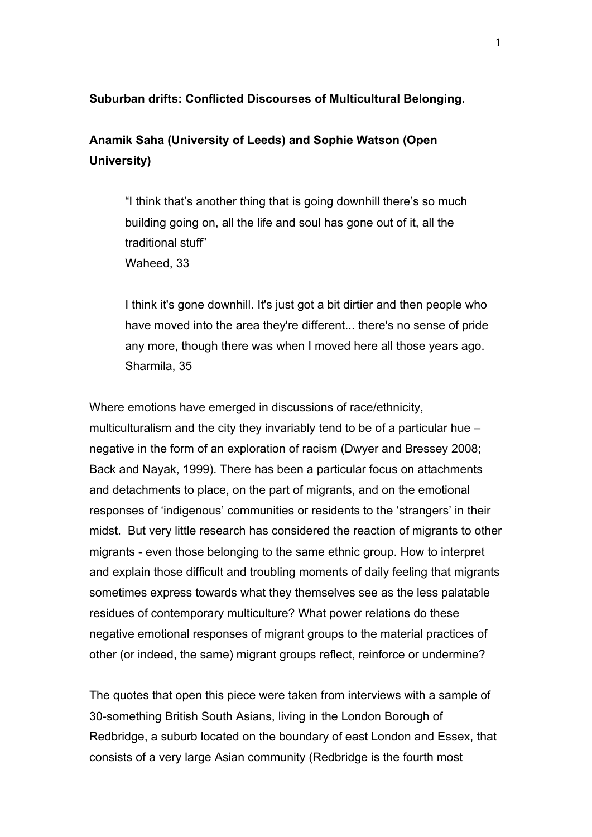## **Suburban drifts: Conflicted Discourses of Multicultural Belonging.**

## **Anamik Saha (University of Leeds) and Sophie Watson (Open University)**

"I think that's another thing that is going downhill there's so much building going on, all the life and soul has gone out of it, all the traditional stuff" Waheed, 33

I think it's gone downhill. It's just got a bit dirtier and then people who have moved into the area they're different... there's no sense of pride any more, though there was when I moved here all those years ago. Sharmila, 35

Where emotions have emerged in discussions of race/ethnicity, multiculturalism and the city they invariably tend to be of a particular hue – negative in the form of an exploration of racism (Dwyer and Bressey 2008; Back and Nayak, 1999). There has been a particular focus on attachments and detachments to place, on the part of migrants, and on the emotional responses of 'indigenous' communities or residents to the 'strangers' in their midst. But very little research has considered the reaction of migrants to other migrants - even those belonging to the same ethnic group. How to interpret and explain those difficult and troubling moments of daily feeling that migrants sometimes express towards what they themselves see as the less palatable residues of contemporary multiculture? What power relations do these negative emotional responses of migrant groups to the material practices of other (or indeed, the same) migrant groups reflect, reinforce or undermine?

The quotes that open this piece were taken from interviews with a sample of 30-something British South Asians, living in the London Borough of Redbridge, a suburb located on the boundary of east London and Essex, that consists of a very large Asian community (Redbridge is the fourth most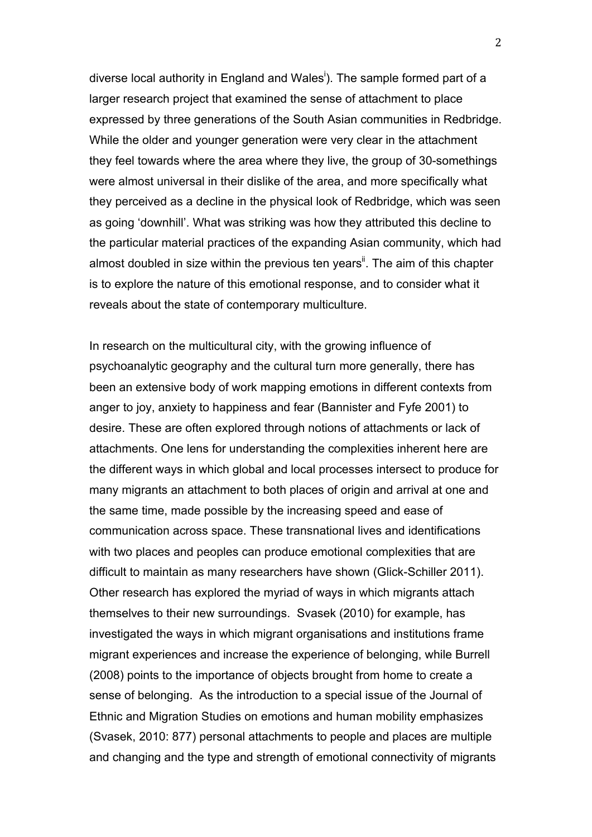diverse local authority in England and Wales<sup>i</sup>). The sample formed part of a larger research project that examined the sense of attachment to place expressed by three generations of the South Asian communities in Redbridge. While the older and younger generation were very clear in the attachment they feel towards where the area where they live, the group of 30-somethings were almost universal in their dislike of the area, and more specifically what they perceived as a decline in the physical look of Redbridge, which was seen as going 'downhill'. What was striking was how they attributed this decline to the particular material practices of the expanding Asian community, which had almost doubled in size within the previous ten years<sup>"</sup>. The aim of this chapter is to explore the nature of this emotional response, and to consider what it reveals about the state of contemporary multiculture.

In research on the multicultural city, with the growing influence of psychoanalytic geography and the cultural turn more generally, there has been an extensive body of work mapping emotions in different contexts from anger to joy, anxiety to happiness and fear (Bannister and Fyfe 2001) to desire. These are often explored through notions of attachments or lack of attachments. One lens for understanding the complexities inherent here are the different ways in which global and local processes intersect to produce for many migrants an attachment to both places of origin and arrival at one and the same time, made possible by the increasing speed and ease of communication across space. These transnational lives and identifications with two places and peoples can produce emotional complexities that are difficult to maintain as many researchers have shown (Glick-Schiller 2011). Other research has explored the myriad of ways in which migrants attach themselves to their new surroundings. Svasek (2010) for example, has investigated the ways in which migrant organisations and institutions frame migrant experiences and increase the experience of belonging, while Burrell (2008) points to the importance of objects brought from home to create a sense of belonging. As the introduction to a special issue of the Journal of Ethnic and Migration Studies on emotions and human mobility emphasizes (Svasek, 2010: 877) personal attachments to people and places are multiple and changing and the type and strength of emotional connectivity of migrants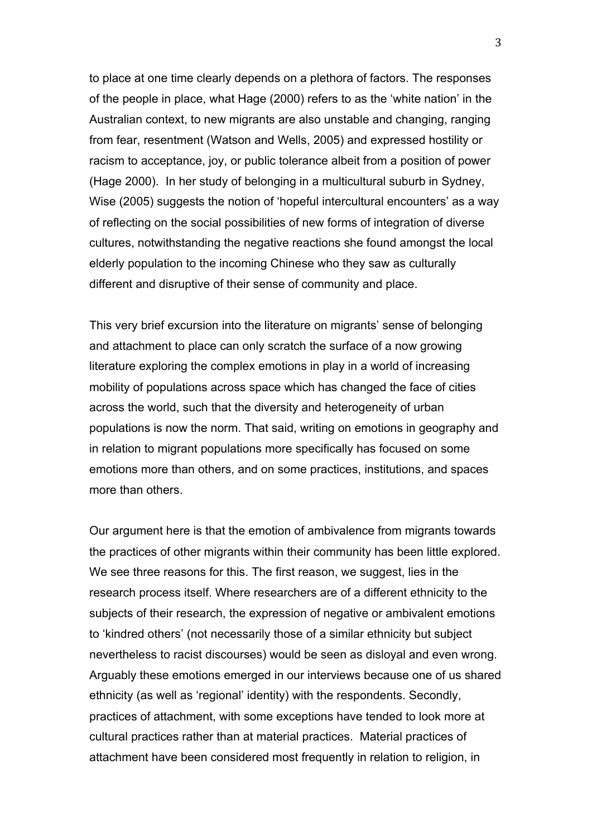to place at one time clearly depends on a plethora of factors. The responses of the people in place, what Hage (2000) refers to as the 'white nation' in the Australian context, to new migrants are also unstable and changing, ranging from fear, resentment (Watson and Wells, 2005) and expressed hostility or racism to acceptance, joy, or public tolerance albeit from a position of power (Hage 2000). In her study of belonging in a multicultural suburb in Sydney, Wise (2005) suggests the notion of 'hopeful intercultural encounters' as a way of reflecting on the social possibilities of new forms of integration of diverse cultures, notwithstanding the negative reactions she found amongst the local elderly population to the incoming Chinese who they saw as culturally different and disruptive of their sense of community and place.

This very brief excursion into the literature on migrants' sense of belonging and attachment to place can only scratch the surface of a now growing literature exploring the complex emotions in play in a world of increasing mobility of populations across space which has changed the face of cities across the world, such that the diversity and heterogeneity of urban populations is now the norm. That said, writing on emotions in geography and in relation to migrant populations more specifically has focused on some emotions more than others, and on some practices, institutions, and spaces more than others.

Our argument here is that the emotion of ambivalence from migrants towards the practices of other migrants within their community has been little explored. We see three reasons for this. The first reason, we suggest, lies in the research process itself. Where researchers are of a different ethnicity to the subjects of their research, the expression of negative or ambivalent emotions to 'kindred others' (not necessarily those of a similar ethnicity but subject nevertheless to racist discourses) would be seen as disloyal and even wrong. Arguably these emotions emerged in our interviews because one of us shared ethnicity (as well as 'regional' identity) with the respondents. Secondly, practices of attachment, with some exceptions have tended to look more at cultural practices rather than at material practices. Material practices of attachment have been considered most frequently in relation to religion, in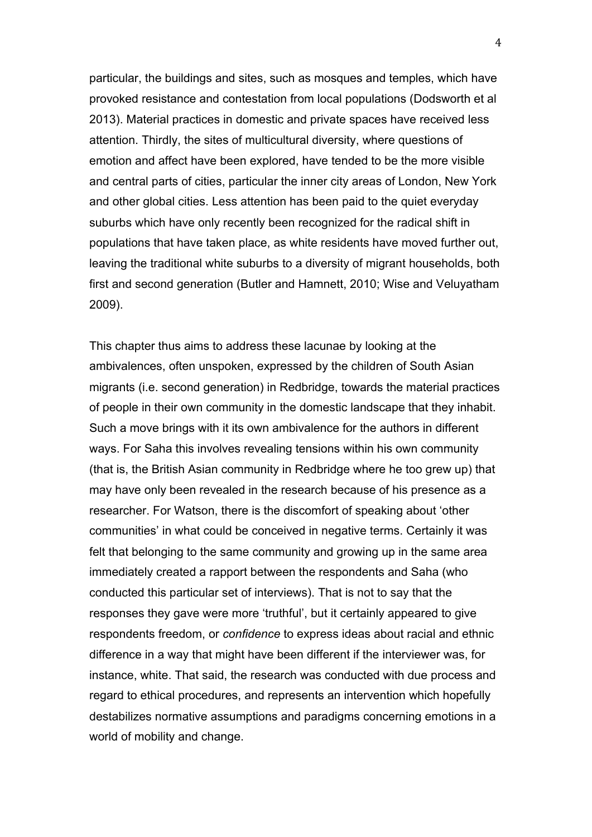particular, the buildings and sites, such as mosques and temples, which have provoked resistance and contestation from local populations (Dodsworth et al 2013). Material practices in domestic and private spaces have received less attention. Thirdly, the sites of multicultural diversity, where questions of emotion and affect have been explored, have tended to be the more visible and central parts of cities, particular the inner city areas of London, New York and other global cities. Less attention has been paid to the quiet everyday suburbs which have only recently been recognized for the radical shift in populations that have taken place, as white residents have moved further out, leaving the traditional white suburbs to a diversity of migrant households, both first and second generation (Butler and Hamnett, 2010; Wise and Veluyatham 2009).

This chapter thus aims to address these lacunae by looking at the ambivalences, often unspoken, expressed by the children of South Asian migrants (i.e. second generation) in Redbridge, towards the material practices of people in their own community in the domestic landscape that they inhabit. Such a move brings with it its own ambivalence for the authors in different ways. For Saha this involves revealing tensions within his own community (that is, the British Asian community in Redbridge where he too grew up) that may have only been revealed in the research because of his presence as a researcher. For Watson, there is the discomfort of speaking about 'other communities' in what could be conceived in negative terms. Certainly it was felt that belonging to the same community and growing up in the same area immediately created a rapport between the respondents and Saha (who conducted this particular set of interviews). That is not to say that the responses they gave were more 'truthful', but it certainly appeared to give respondents freedom, or *confidence* to express ideas about racial and ethnic difference in a way that might have been different if the interviewer was, for instance, white. That said, the research was conducted with due process and regard to ethical procedures, and represents an intervention which hopefully destabilizes normative assumptions and paradigms concerning emotions in a world of mobility and change.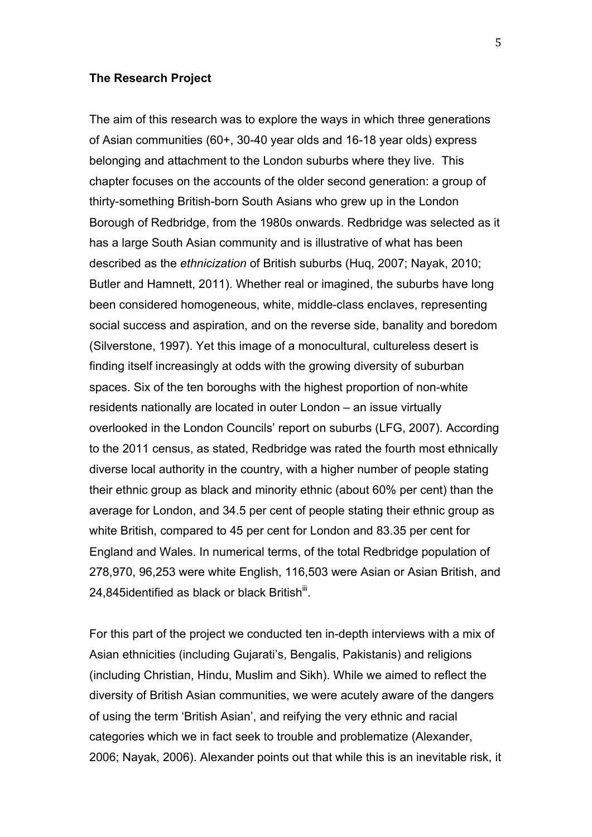## **The Research Project**

The aim of this research was to explore the ways in which three generations of Asian communities (60+, 30-40 year olds and 16-18 year olds) express belonging and attachment to the London suburbs where they live. This chapter focuses on the accounts of the older second generation: a group of thirty-something British-born South Asians who grew up in the London Borough of Redbridge, from the 1980s onwards. Redbridge was selected as it has a large South Asian community and is illustrative of what has been described as the *ethnicization* of British suburbs (Huq, 2007; Nayak, 2010; Butler and Hamnett, 2011). Whether real or imagined, the suburbs have long been considered homogeneous, white, middle-class enclaves, representing social success and aspiration, and on the reverse side, banality and boredom (Silverstone, 1997). Yet this image of a monocultural, cultureless desert is finding itself increasingly at odds with the growing diversity of suburban spaces. Six of the ten boroughs with the highest proportion of non-white residents nationally are located in outer London – an issue virtually overlooked in the London Councils' report on suburbs (LFG, 2007). According to the 2011 census, as stated, Redbridge was rated the fourth most ethnically diverse local authority in the country, with a higher number of people stating their ethnic group as black and minority ethnic (about 60% per cent) than the average for London, and 34.5 per cent of people stating their ethnic group as white British, compared to 45 per cent for London and 83.35 per cent for England and Wales. In numerical terms, of the total Redbridge population of 278,970, 96,253 were white English, 116,503 were Asian or Asian British, and 24,845identified as black or black British<sup>iii</sup>.

For this part of the project we conducted ten in-depth interviews with a mix of Asian ethnicities (including Gujarati's, Bengalis, Pakistanis) and religions (including Christian, Hindu, Muslim and Sikh). While we aimed to reflect the diversity of British Asian communities, we were acutely aware of the dangers of using the term 'British Asian', and reifying the very ethnic and racial categories which we in fact seek to trouble and problematize (Alexander, 2006; Nayak, 2006). Alexander points out that while this is an inevitable risk, it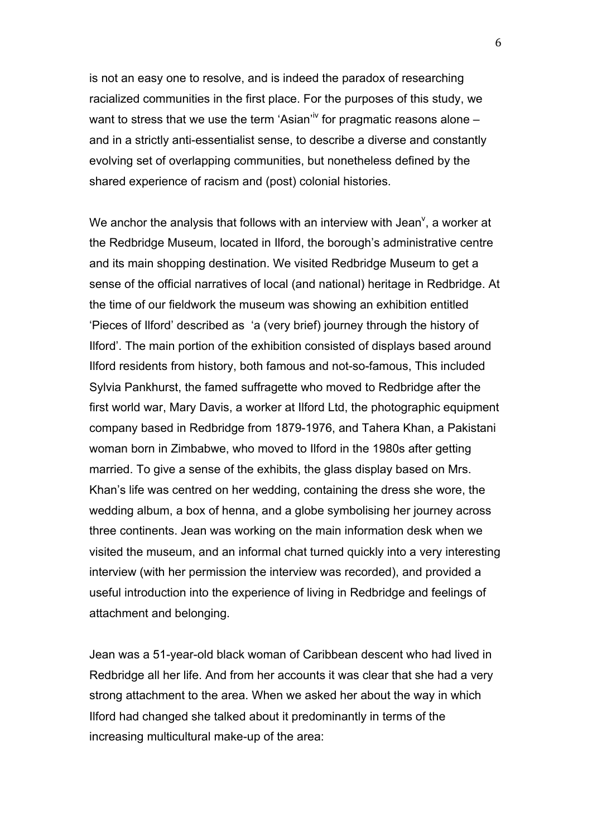is not an easy one to resolve, and is indeed the paradox of researching racialized communities in the first place. For the purposes of this study, we want to stress that we use the term 'Asian'<sup>iv</sup> for pragmatic reasons alone  $$ and in a strictly anti-essentialist sense, to describe a diverse and constantly evolving set of overlapping communities, but nonetheless defined by the shared experience of racism and (post) colonial histories.

We anchor the analysis that follows with an interview with Jean $\mathrm{v}_i$ , a worker at the Redbridge Museum, located in Ilford, the borough's administrative centre and its main shopping destination. We visited Redbridge Museum to get a sense of the official narratives of local (and national) heritage in Redbridge. At the time of our fieldwork the museum was showing an exhibition entitled 'Pieces of Ilford' described as 'a (very brief) journey through the history of Ilford'. The main portion of the exhibition consisted of displays based around Ilford residents from history, both famous and not-so-famous, This included Sylvia Pankhurst, the famed suffragette who moved to Redbridge after the first world war, Mary Davis, a worker at Ilford Ltd, the photographic equipment company based in Redbridge from 1879-1976, and Tahera Khan, a Pakistani woman born in Zimbabwe, who moved to Ilford in the 1980s after getting married. To give a sense of the exhibits, the glass display based on Mrs. Khan's life was centred on her wedding, containing the dress she wore, the wedding album, a box of henna, and a globe symbolising her journey across three continents. Jean was working on the main information desk when we visited the museum, and an informal chat turned quickly into a very interesting interview (with her permission the interview was recorded), and provided a useful introduction into the experience of living in Redbridge and feelings of attachment and belonging.

Jean was a 51-year-old black woman of Caribbean descent who had lived in Redbridge all her life. And from her accounts it was clear that she had a very strong attachment to the area. When we asked her about the way in which Ilford had changed she talked about it predominantly in terms of the increasing multicultural make-up of the area: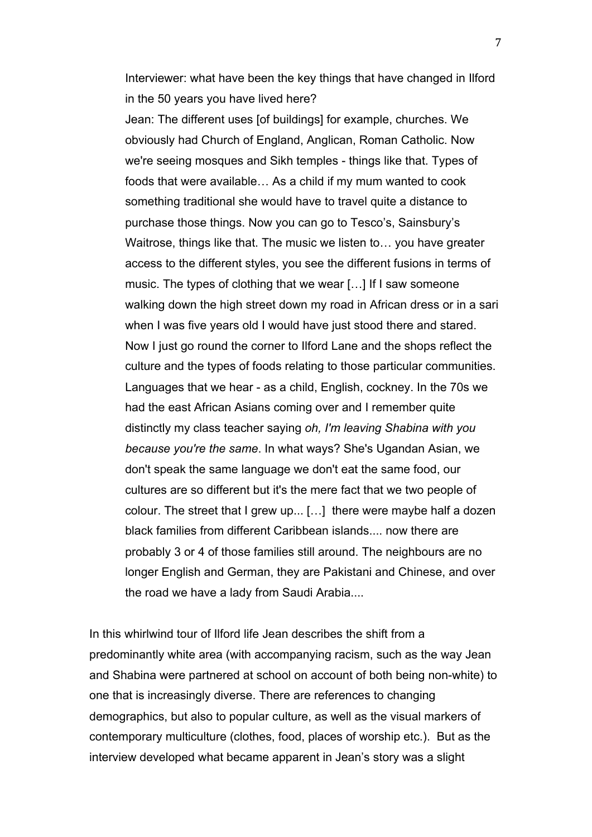Interviewer: what have been the key things that have changed in Ilford in the 50 years you have lived here?

Jean: The different uses [of buildings] for example, churches. We obviously had Church of England, Anglican, Roman Catholic. Now we're seeing mosques and Sikh temples - things like that. Types of foods that were available… As a child if my mum wanted to cook something traditional she would have to travel quite a distance to purchase those things. Now you can go to Tesco's, Sainsbury's Waitrose, things like that. The music we listen to… you have greater access to the different styles, you see the different fusions in terms of music. The types of clothing that we wear […] If I saw someone walking down the high street down my road in African dress or in a sari when I was five years old I would have just stood there and stared. Now I just go round the corner to Ilford Lane and the shops reflect the culture and the types of foods relating to those particular communities. Languages that we hear - as a child, English, cockney. In the 70s we had the east African Asians coming over and I remember quite distinctly my class teacher saying *oh, I'm leaving Shabina with you because you're the same*. In what ways? She's Ugandan Asian, we don't speak the same language we don't eat the same food, our cultures are so different but it's the mere fact that we two people of colour. The street that I grew up... […] there were maybe half a dozen black families from different Caribbean islands.... now there are probably 3 or 4 of those families still around. The neighbours are no longer English and German, they are Pakistani and Chinese, and over the road we have a lady from Saudi Arabia....

In this whirlwind tour of Ilford life Jean describes the shift from a predominantly white area (with accompanying racism, such as the way Jean and Shabina were partnered at school on account of both being non-white) to one that is increasingly diverse. There are references to changing demographics, but also to popular culture, as well as the visual markers of contemporary multiculture (clothes, food, places of worship etc.). But as the interview developed what became apparent in Jean's story was a slight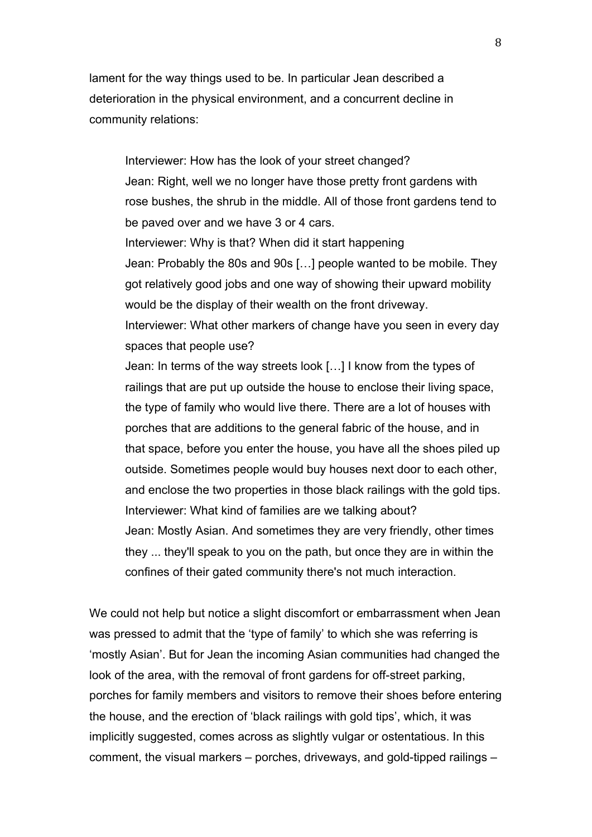lament for the way things used to be. In particular Jean described a deterioration in the physical environment, and a concurrent decline in community relations:

Interviewer: How has the look of your street changed? Jean: Right, well we no longer have those pretty front gardens with rose bushes, the shrub in the middle. All of those front gardens tend to be paved over and we have 3 or 4 cars. Interviewer: Why is that? When did it start happening Jean: Probably the 80s and 90s […] people wanted to be mobile. They got relatively good jobs and one way of showing their upward mobility would be the display of their wealth on the front driveway.

Interviewer: What other markers of change have you seen in every day spaces that people use?

Jean: In terms of the way streets look […] I know from the types of railings that are put up outside the house to enclose their living space, the type of family who would live there. There are a lot of houses with porches that are additions to the general fabric of the house, and in that space, before you enter the house, you have all the shoes piled up outside. Sometimes people would buy houses next door to each other, and enclose the two properties in those black railings with the gold tips. Interviewer: What kind of families are we talking about? Jean: Mostly Asian. And sometimes they are very friendly, other times they ... they'll speak to you on the path, but once they are in within the confines of their gated community there's not much interaction.

We could not help but notice a slight discomfort or embarrassment when Jean was pressed to admit that the 'type of family' to which she was referring is 'mostly Asian'. But for Jean the incoming Asian communities had changed the look of the area, with the removal of front gardens for off-street parking, porches for family members and visitors to remove their shoes before entering the house, and the erection of 'black railings with gold tips', which, it was implicitly suggested, comes across as slightly vulgar or ostentatious. In this comment, the visual markers – porches, driveways, and gold-tipped railings –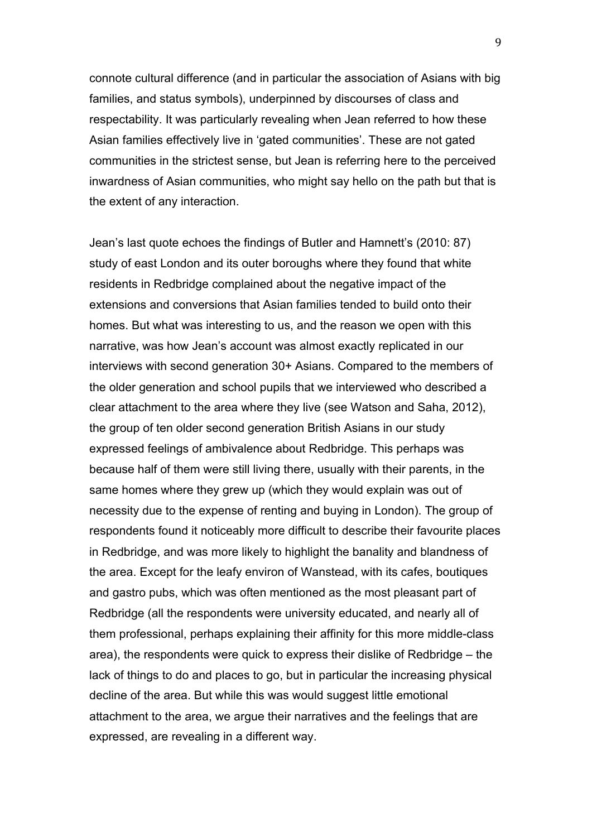connote cultural difference (and in particular the association of Asians with big families, and status symbols), underpinned by discourses of class and respectability. It was particularly revealing when Jean referred to how these Asian families effectively live in 'gated communities'. These are not gated communities in the strictest sense, but Jean is referring here to the perceived inwardness of Asian communities, who might say hello on the path but that is the extent of any interaction.

Jean's last quote echoes the findings of Butler and Hamnett's (2010: 87) study of east London and its outer boroughs where they found that white residents in Redbridge complained about the negative impact of the extensions and conversions that Asian families tended to build onto their homes. But what was interesting to us, and the reason we open with this narrative, was how Jean's account was almost exactly replicated in our interviews with second generation 30+ Asians. Compared to the members of the older generation and school pupils that we interviewed who described a clear attachment to the area where they live (see Watson and Saha, 2012), the group of ten older second generation British Asians in our study expressed feelings of ambivalence about Redbridge. This perhaps was because half of them were still living there, usually with their parents, in the same homes where they grew up (which they would explain was out of necessity due to the expense of renting and buying in London). The group of respondents found it noticeably more difficult to describe their favourite places in Redbridge, and was more likely to highlight the banality and blandness of the area. Except for the leafy environ of Wanstead, with its cafes, boutiques and gastro pubs, which was often mentioned as the most pleasant part of Redbridge (all the respondents were university educated, and nearly all of them professional, perhaps explaining their affinity for this more middle-class area), the respondents were quick to express their dislike of Redbridge – the lack of things to do and places to go, but in particular the increasing physical decline of the area. But while this was would suggest little emotional attachment to the area, we argue their narratives and the feelings that are expressed, are revealing in a different way.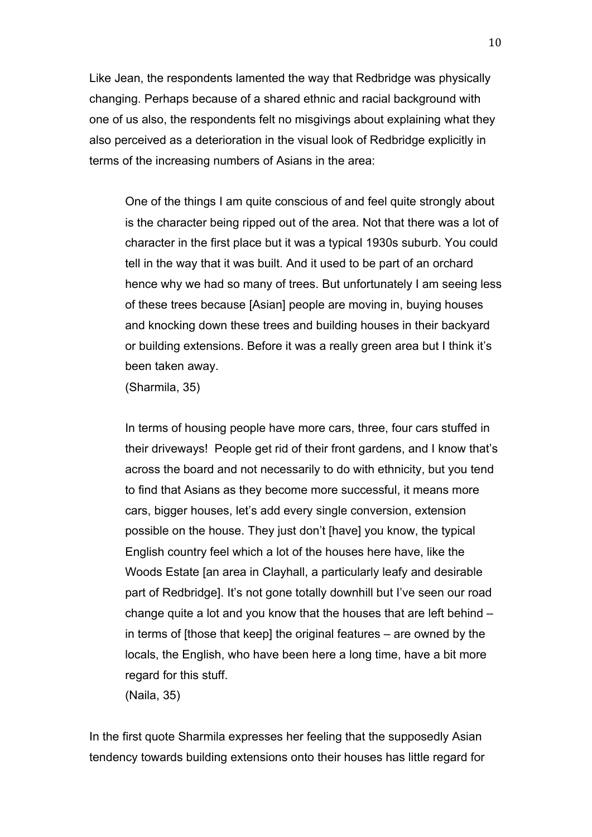Like Jean, the respondents lamented the way that Redbridge was physically changing. Perhaps because of a shared ethnic and racial background with one of us also, the respondents felt no misgivings about explaining what they also perceived as a deterioration in the visual look of Redbridge explicitly in terms of the increasing numbers of Asians in the area:

One of the things I am quite conscious of and feel quite strongly about is the character being ripped out of the area. Not that there was a lot of character in the first place but it was a typical 1930s suburb. You could tell in the way that it was built. And it used to be part of an orchard hence why we had so many of trees. But unfortunately I am seeing less of these trees because [Asian] people are moving in, buying houses and knocking down these trees and building houses in their backyard or building extensions. Before it was a really green area but I think it's been taken away.

(Sharmila, 35)

In terms of housing people have more cars, three, four cars stuffed in their driveways! People get rid of their front gardens, and I know that's across the board and not necessarily to do with ethnicity, but you tend to find that Asians as they become more successful, it means more cars, bigger houses, let's add every single conversion, extension possible on the house. They just don't [have] you know, the typical English country feel which a lot of the houses here have, like the Woods Estate [an area in Clayhall, a particularly leafy and desirable part of Redbridge]. It's not gone totally downhill but I've seen our road change quite a lot and you know that the houses that are left behind – in terms of [those that keep] the original features – are owned by the locals, the English, who have been here a long time, have a bit more regard for this stuff.

(Naila, 35)

In the first quote Sharmila expresses her feeling that the supposedly Asian tendency towards building extensions onto their houses has little regard for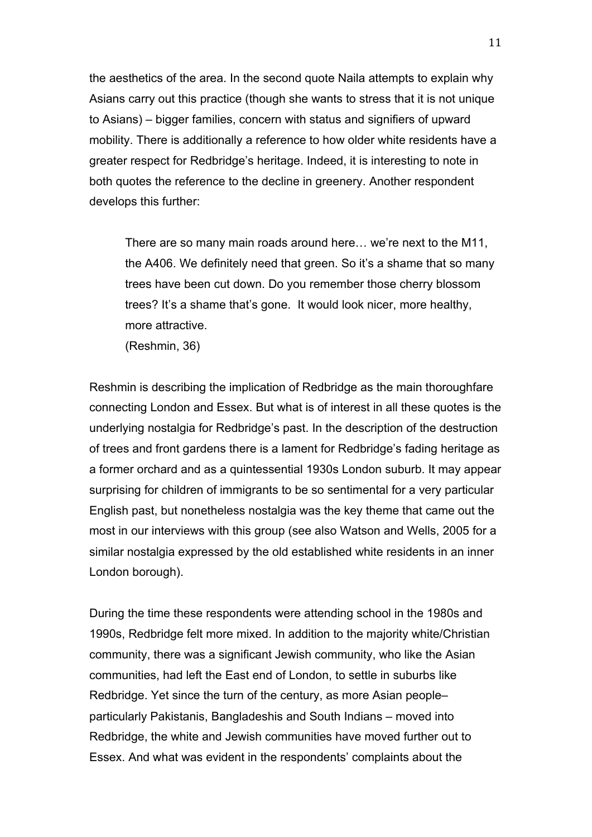the aesthetics of the area. In the second quote Naila attempts to explain why Asians carry out this practice (though she wants to stress that it is not unique to Asians) – bigger families, concern with status and signifiers of upward mobility. There is additionally a reference to how older white residents have a greater respect for Redbridge's heritage. Indeed, it is interesting to note in both quotes the reference to the decline in greenery. Another respondent develops this further:

There are so many main roads around here… we're next to the M11, the A406. We definitely need that green. So it's a shame that so many trees have been cut down. Do you remember those cherry blossom trees? It's a shame that's gone. It would look nicer, more healthy, more attractive.

(Reshmin, 36)

Reshmin is describing the implication of Redbridge as the main thoroughfare connecting London and Essex. But what is of interest in all these quotes is the underlying nostalgia for Redbridge's past. In the description of the destruction of trees and front gardens there is a lament for Redbridge's fading heritage as a former orchard and as a quintessential 1930s London suburb. It may appear surprising for children of immigrants to be so sentimental for a very particular English past, but nonetheless nostalgia was the key theme that came out the most in our interviews with this group (see also Watson and Wells, 2005 for a similar nostalgia expressed by the old established white residents in an inner London borough).

During the time these respondents were attending school in the 1980s and 1990s, Redbridge felt more mixed. In addition to the majority white/Christian community, there was a significant Jewish community, who like the Asian communities, had left the East end of London, to settle in suburbs like Redbridge. Yet since the turn of the century, as more Asian people– particularly Pakistanis, Bangladeshis and South Indians – moved into Redbridge, the white and Jewish communities have moved further out to Essex. And what was evident in the respondents' complaints about the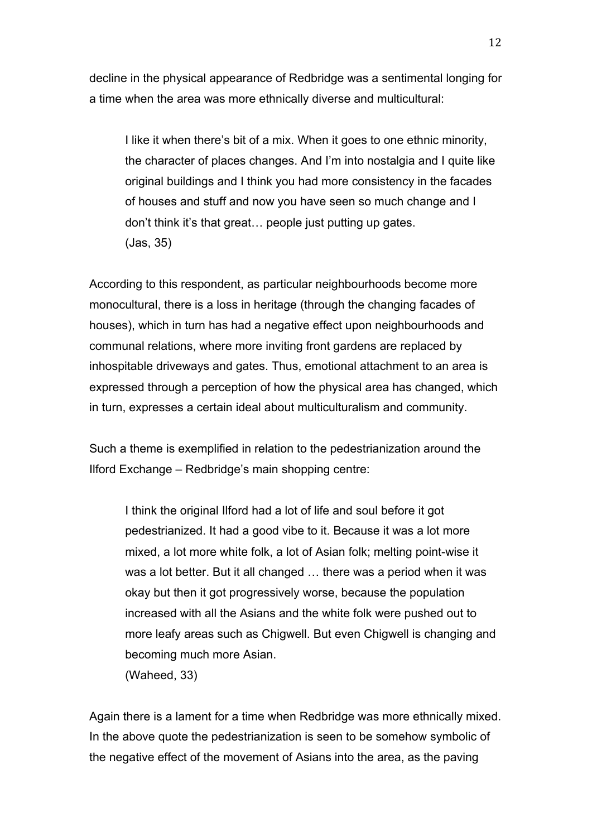decline in the physical appearance of Redbridge was a sentimental longing for a time when the area was more ethnically diverse and multicultural:

I like it when there's bit of a mix. When it goes to one ethnic minority, the character of places changes. And I'm into nostalgia and I quite like original buildings and I think you had more consistency in the facades of houses and stuff and now you have seen so much change and I don't think it's that great… people just putting up gates. (Jas, 35)

According to this respondent, as particular neighbourhoods become more monocultural, there is a loss in heritage (through the changing facades of houses), which in turn has had a negative effect upon neighbourhoods and communal relations, where more inviting front gardens are replaced by inhospitable driveways and gates. Thus, emotional attachment to an area is expressed through a perception of how the physical area has changed, which in turn, expresses a certain ideal about multiculturalism and community.

Such a theme is exemplified in relation to the pedestrianization around the Ilford Exchange – Redbridge's main shopping centre:

I think the original Ilford had a lot of life and soul before it got pedestrianized. It had a good vibe to it. Because it was a lot more mixed, a lot more white folk, a lot of Asian folk; melting point-wise it was a lot better. But it all changed … there was a period when it was okay but then it got progressively worse, because the population increased with all the Asians and the white folk were pushed out to more leafy areas such as Chigwell. But even Chigwell is changing and becoming much more Asian. (Waheed, 33)

Again there is a lament for a time when Redbridge was more ethnically mixed. In the above quote the pedestrianization is seen to be somehow symbolic of the negative effect of the movement of Asians into the area, as the paving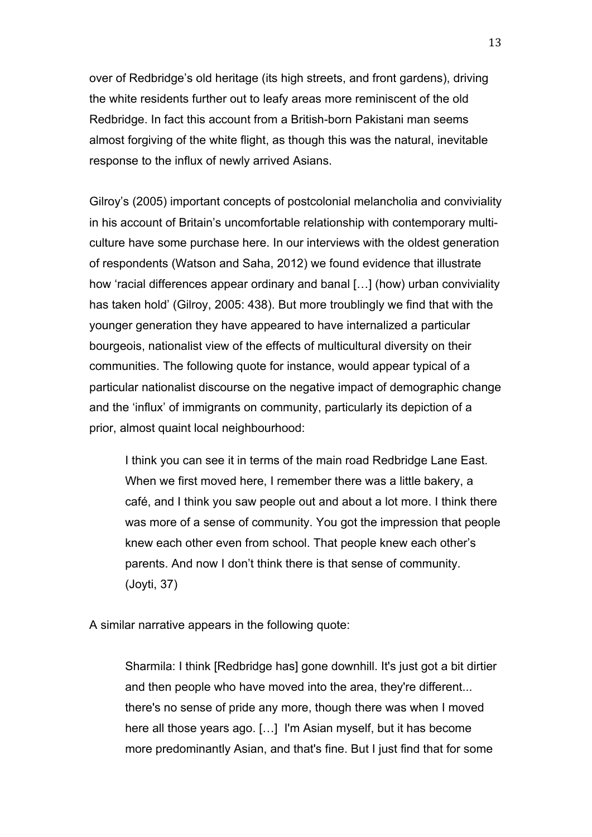over of Redbridge's old heritage (its high streets, and front gardens), driving the white residents further out to leafy areas more reminiscent of the old Redbridge. In fact this account from a British-born Pakistani man seems almost forgiving of the white flight, as though this was the natural, inevitable response to the influx of newly arrived Asians.

Gilroy's (2005) important concepts of postcolonial melancholia and conviviality in his account of Britain's uncomfortable relationship with contemporary multiculture have some purchase here. In our interviews with the oldest generation of respondents (Watson and Saha, 2012) we found evidence that illustrate how 'racial differences appear ordinary and banal […] (how) urban conviviality has taken hold' (Gilroy, 2005: 438). But more troublingly we find that with the younger generation they have appeared to have internalized a particular bourgeois, nationalist view of the effects of multicultural diversity on their communities. The following quote for instance, would appear typical of a particular nationalist discourse on the negative impact of demographic change and the 'influx' of immigrants on community, particularly its depiction of a prior, almost quaint local neighbourhood:

I think you can see it in terms of the main road Redbridge Lane East. When we first moved here, I remember there was a little bakery, a café, and I think you saw people out and about a lot more. I think there was more of a sense of community. You got the impression that people knew each other even from school. That people knew each other's parents. And now I don't think there is that sense of community. (Joyti, 37)

A similar narrative appears in the following quote:

Sharmila: I think [Redbridge has] gone downhill. It's just got a bit dirtier and then people who have moved into the area, they're different... there's no sense of pride any more, though there was when I moved here all those years ago. […] I'm Asian myself, but it has become more predominantly Asian, and that's fine. But I just find that for some

13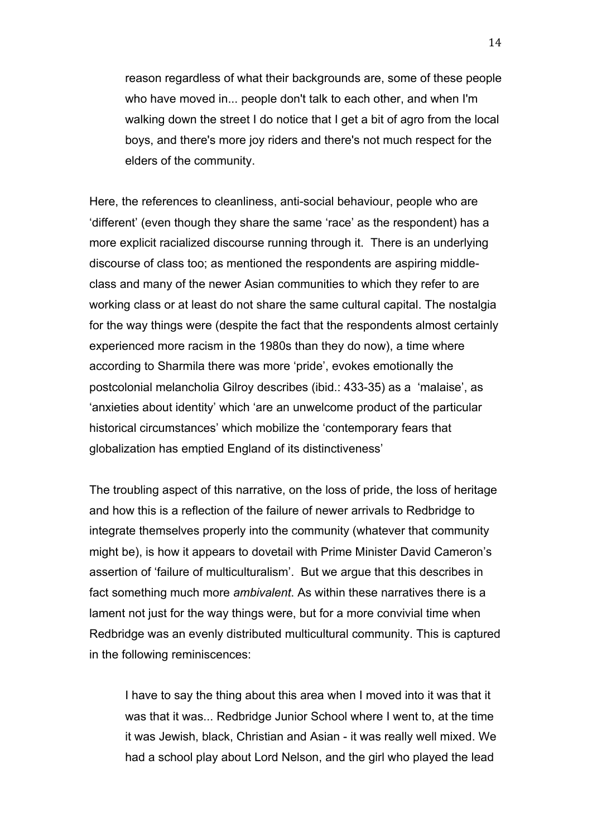reason regardless of what their backgrounds are, some of these people who have moved in... people don't talk to each other, and when I'm walking down the street I do notice that I get a bit of agro from the local boys, and there's more joy riders and there's not much respect for the elders of the community.

Here, the references to cleanliness, anti-social behaviour, people who are 'different' (even though they share the same 'race' as the respondent) has a more explicit racialized discourse running through it. There is an underlying discourse of class too; as mentioned the respondents are aspiring middleclass and many of the newer Asian communities to which they refer to are working class or at least do not share the same cultural capital. The nostalgia for the way things were (despite the fact that the respondents almost certainly experienced more racism in the 1980s than they do now), a time where according to Sharmila there was more 'pride', evokes emotionally the postcolonial melancholia Gilroy describes (ibid.: 433-35) as a 'malaise', as 'anxieties about identity' which 'are an unwelcome product of the particular historical circumstances' which mobilize the 'contemporary fears that globalization has emptied England of its distinctiveness'

The troubling aspect of this narrative, on the loss of pride, the loss of heritage and how this is a reflection of the failure of newer arrivals to Redbridge to integrate themselves properly into the community (whatever that community might be), is how it appears to dovetail with Prime Minister David Cameron's assertion of 'failure of multiculturalism'. But we argue that this describes in fact something much more *ambivalent*. As within these narratives there is a lament not just for the way things were, but for a more convivial time when Redbridge was an evenly distributed multicultural community. This is captured in the following reminiscences:

I have to say the thing about this area when I moved into it was that it was that it was... Redbridge Junior School where I went to, at the time it was Jewish, black, Christian and Asian - it was really well mixed. We had a school play about Lord Nelson, and the girl who played the lead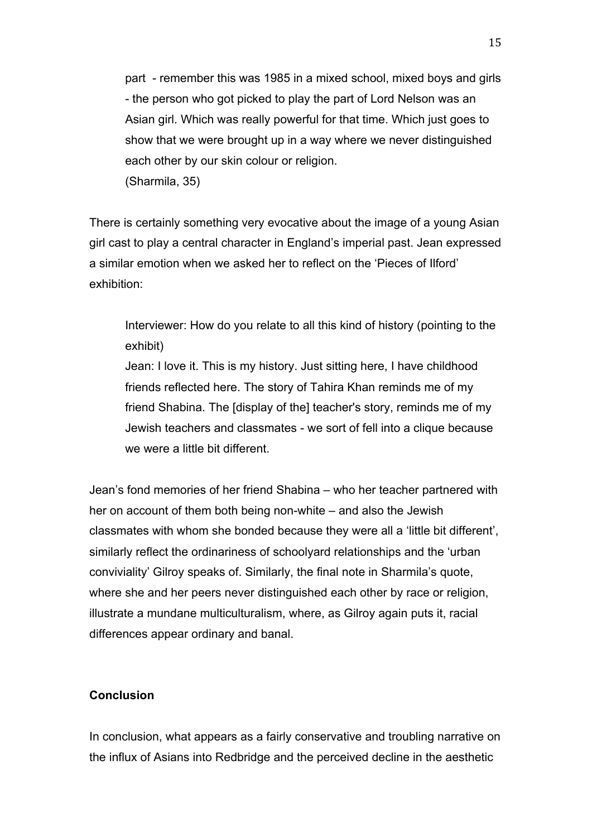part - remember this was 1985 in a mixed school, mixed boys and girls - the person who got picked to play the part of Lord Nelson was an Asian girl. Which was really powerful for that time. Which just goes to show that we were brought up in a way where we never distinguished each other by our skin colour or religion. (Sharmila, 35)

There is certainly something very evocative about the image of a young Asian girl cast to play a central character in England's imperial past. Jean expressed a similar emotion when we asked her to reflect on the 'Pieces of Ilford' exhibition:

Interviewer: How do you relate to all this kind of history (pointing to the exhibit)

Jean: I love it. This is my history. Just sitting here, I have childhood friends reflected here. The story of Tahira Khan reminds me of my friend Shabina. The [display of the] teacher's story, reminds me of my Jewish teachers and classmates - we sort of fell into a clique because we were a little bit different.

Jean's fond memories of her friend Shabina – who her teacher partnered with her on account of them both being non-white – and also the Jewish classmates with whom she bonded because they were all a 'little bit different', similarly reflect the ordinariness of schoolyard relationships and the 'urban conviviality' Gilroy speaks of. Similarly, the final note in Sharmila's quote, where she and her peers never distinguished each other by race or religion, illustrate a mundane multiculturalism, where, as Gilroy again puts it, racial differences appear ordinary and banal.

## **Conclusion**

In conclusion, what appears as a fairly conservative and troubling narrative on the influx of Asians into Redbridge and the perceived decline in the aesthetic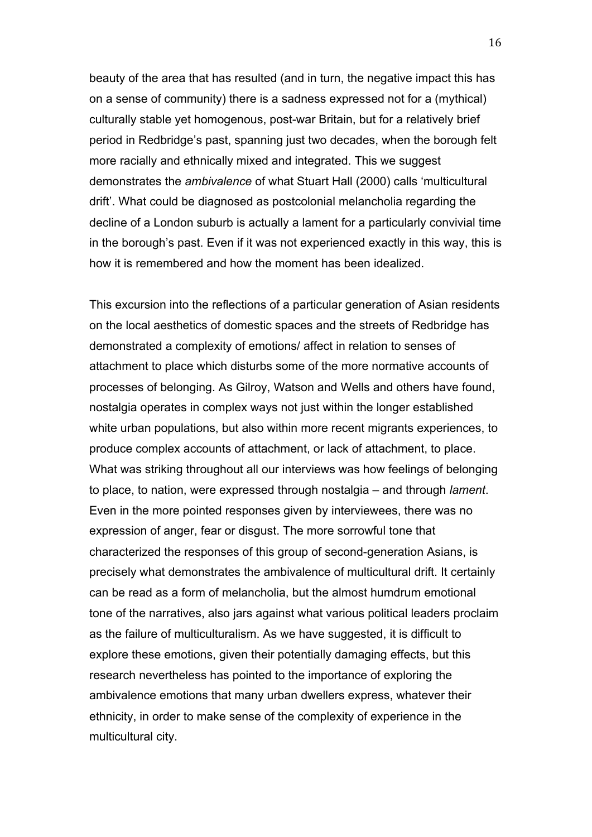beauty of the area that has resulted (and in turn, the negative impact this has on a sense of community) there is a sadness expressed not for a (mythical) culturally stable yet homogenous, post-war Britain, but for a relatively brief period in Redbridge's past, spanning just two decades, when the borough felt more racially and ethnically mixed and integrated. This we suggest demonstrates the *ambivalence* of what Stuart Hall (2000) calls 'multicultural drift'. What could be diagnosed as postcolonial melancholia regarding the decline of a London suburb is actually a lament for a particularly convivial time in the borough's past. Even if it was not experienced exactly in this way, this is how it is remembered and how the moment has been idealized.

This excursion into the reflections of a particular generation of Asian residents on the local aesthetics of domestic spaces and the streets of Redbridge has demonstrated a complexity of emotions/ affect in relation to senses of attachment to place which disturbs some of the more normative accounts of processes of belonging. As Gilroy, Watson and Wells and others have found, nostalgia operates in complex ways not just within the longer established white urban populations, but also within more recent migrants experiences, to produce complex accounts of attachment, or lack of attachment, to place. What was striking throughout all our interviews was how feelings of belonging to place, to nation, were expressed through nostalgia – and through *lament*. Even in the more pointed responses given by interviewees, there was no expression of anger, fear or disgust. The more sorrowful tone that characterized the responses of this group of second-generation Asians, is precisely what demonstrates the ambivalence of multicultural drift. It certainly can be read as a form of melancholia, but the almost humdrum emotional tone of the narratives, also jars against what various political leaders proclaim as the failure of multiculturalism. As we have suggested, it is difficult to explore these emotions, given their potentially damaging effects, but this research nevertheless has pointed to the importance of exploring the ambivalence emotions that many urban dwellers express, whatever their ethnicity, in order to make sense of the complexity of experience in the multicultural city.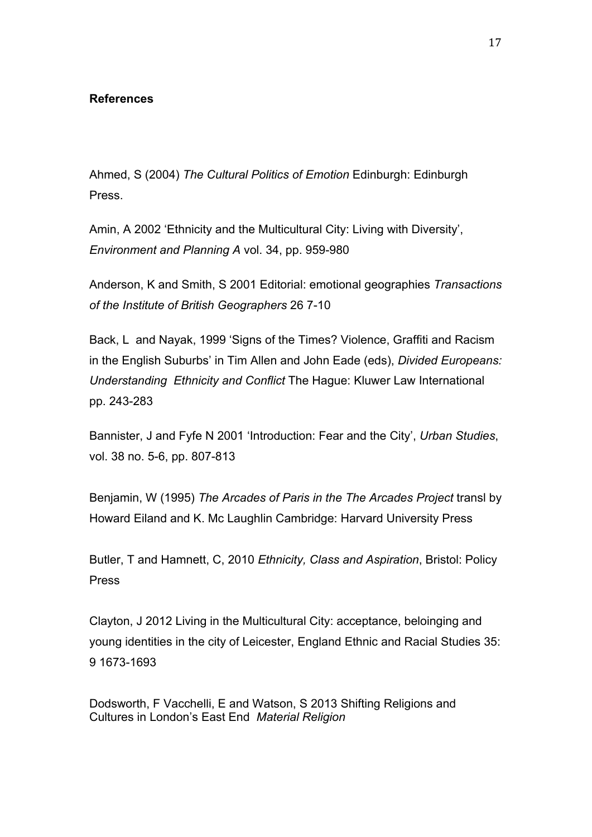Ahmed, S (2004) *The Cultural Politics of Emotion* Edinburgh: Edinburgh Press.

Amin, A 2002 'Ethnicity and the Multicultural City: Living with Diversity', *Environment and Planning A* vol. 34, pp. 959-980

Anderson, K and Smith, S 2001 Editorial: emotional geographies *Transactions of the Institute of British Geographers* 26 7-10

Back, L and Nayak, 1999 'Signs of the Times? Violence, Graffiti and Racism in the English Suburbs' in Tim Allen and John Eade (eds), *Divided Europeans: Understanding Ethnicity and Conflict* The Hague: Kluwer Law International pp. 243-283

Bannister, J and Fyfe N 2001 'Introduction: Fear and the City', *Urban Studies*, vol. 38 no. 5-6, pp. 807-813

Benjamin, W (1995) *The Arcades of Paris in the The Arcades Project* transl by Howard Eiland and K. Mc Laughlin Cambridge: Harvard University Press

Butler, T and Hamnett, C, 2010 *Ethnicity, Class and Aspiration*, Bristol: Policy Press

Clayton, J 2012 Living in the Multicultural City: acceptance, beloinging and young identities in the city of Leicester, England Ethnic and Racial Studies 35: 9 1673-1693

Dodsworth, F Vacchelli, E and Watson, S 2013 Shifting Religions and Cultures in London's East End *Material Religion*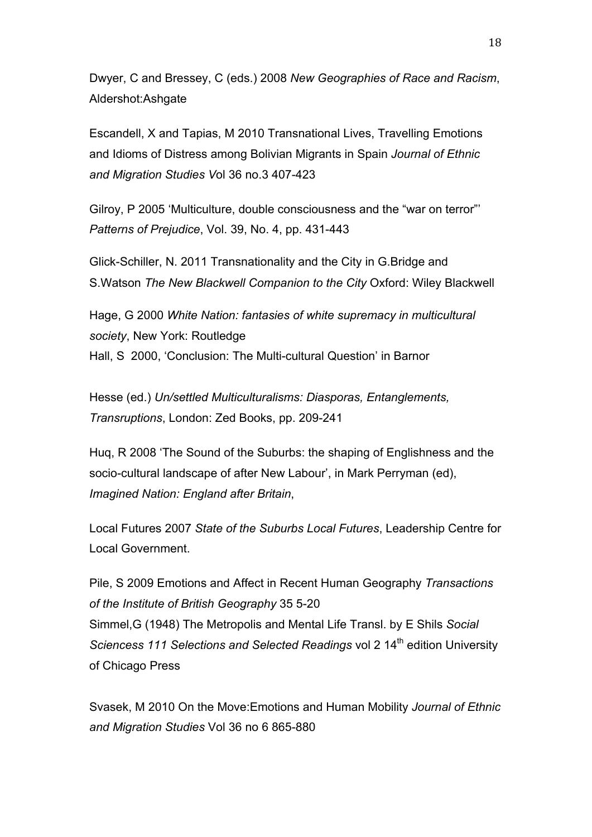Dwyer, C and Bressey, C (eds.) 2008 *New Geographies of Race and Racism*, Aldershot:Ashgate

Escandell, X and Tapias, M 2010 Transnational Lives, Travelling Emotions and Idioms of Distress among Bolivian Migrants in Spain *Journal of Ethnic and Migration Studies V*ol 36 no.3 407-423

Gilroy, P 2005 'Multiculture, double consciousness and the "war on terror"' *Patterns of Prejudice*, Vol. 39, No. 4, pp. 431-443

Glick-Schiller, N. 2011 Transnationality and the City in G.Bridge and S.Watson *The New Blackwell Companion to the City* Oxford: Wiley Blackwell

Hage, G 2000 *White Nation: fantasies of white supremacy in multicultural society*, New York: Routledge Hall, S 2000, 'Conclusion: The Multi-cultural Question' in Barnor

Hesse (ed.) *Un/settled Multiculturalisms: Diasporas, Entanglements, Transruptions*, London: Zed Books, pp. 209-241

Huq, R 2008 'The Sound of the Suburbs: the shaping of Englishness and the socio-cultural landscape of after New Labour', in Mark Perryman (ed), *Imagined Nation: England after Britain*,

Local Futures 2007 *State of the Suburbs Local Futures*, Leadership Centre for Local Government.

Pile, S 2009 Emotions and Affect in Recent Human Geography *Transactions of the Institute of British Geography* 35 5-20 Simmel,G (1948) The Metropolis and Mental Life Transl. by E Shils *Social Sciencess 111 Selections and Selected Readings vol 2 14<sup>th</sup> edition University* of Chicago Press

Svasek, M 2010 On the Move:Emotions and Human Mobility *Journal of Ethnic and Migration Studies* Vol 36 no 6 865-880